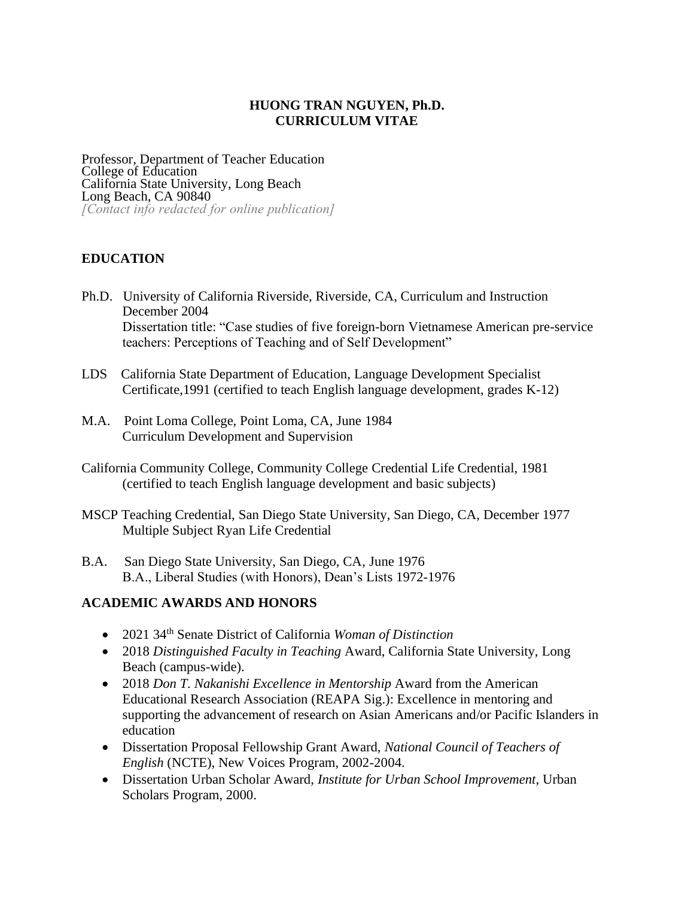# **HUONG TRAN NGUYEN, Ph.D. CURRICULUM VITAE**

Professor, Department of Teacher Education College of Education California State University, Long Beach Long Beach, CA 90840 *[Contact info redacted for online publication]*

# **EDUCATION**

- Ph.D. University of California Riverside, Riverside, CA, Curriculum and Instruction December 2004 Dissertation title: "Case studies of five foreign-born Vietnamese American pre-service teachers: Perceptions of Teaching and of Self Development"
- LDS California State Department of Education, Language Development Specialist Certificate,1991 (certified to teach English language development, grades K-12)
- M.A. Point Loma College, Point Loma, CA, June 1984 Curriculum Development and Supervision
- California Community College, Community College Credential Life Credential, 1981 (certified to teach English language development and basic subjects)
- MSCP Teaching Credential, San Diego State University, San Diego, CA, December 1977 Multiple Subject Ryan Life Credential
- B.A. San Diego State University, San Diego, CA, June 1976 B.A., Liberal Studies (with Honors), Dean's Lists 1972-1976

## **ACADEMIC AWARDS AND HONORS**

- 2021 34th Senate District of California *Woman of Distinction*
- 2018 *Distinguished Faculty in Teaching* Award, California State University, Long Beach (campus-wide).
- 2018 *Don T. Nakanishi Excellence in Mentorship* Award from the American Educational Research Association (REAPA Sig.): Excellence in mentoring and supporting the advancement of research on Asian Americans and/or Pacific Islanders in education
- Dissertation Proposal Fellowship Grant Award, *National Council of Teachers of English* (NCTE), New Voices Program, 2002-2004.
- Dissertation Urban Scholar Award, *Institute for Urban School Improvement*, Urban Scholars Program, 2000.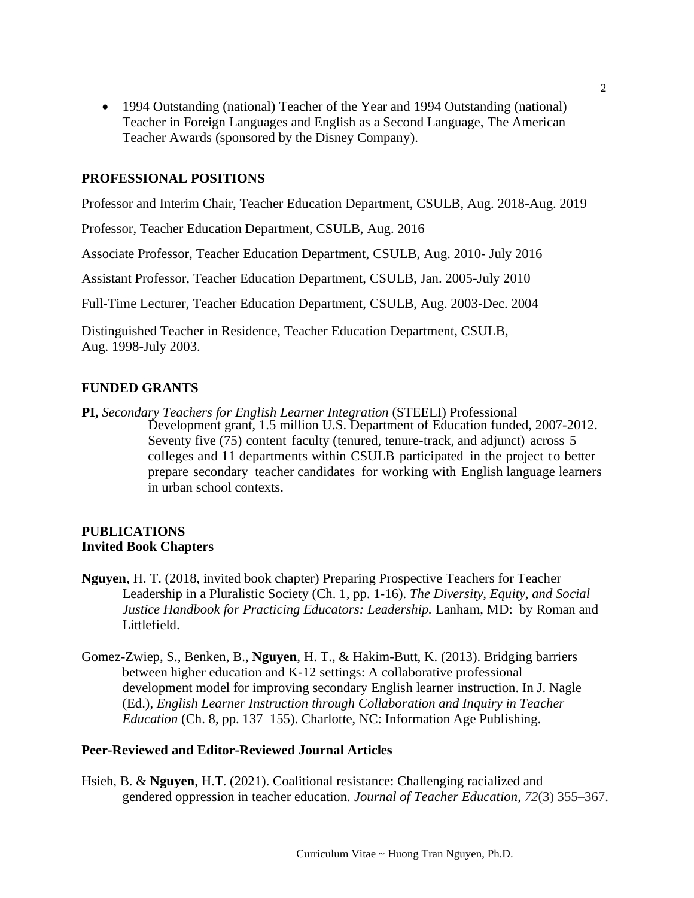• 1994 Outstanding (national) Teacher of the Year and 1994 Outstanding (national) Teacher in Foreign Languages and English as a Second Language, The American Teacher Awards (sponsored by the Disney Company).

### **PROFESSIONAL POSITIONS**

Professor and Interim Chair, Teacher Education Department, CSULB, Aug. 2018-Aug. 2019

Professor, Teacher Education Department, CSULB, Aug. 2016

Associate Professor, Teacher Education Department, CSULB, Aug. 2010- July 2016

Assistant Professor, Teacher Education Department, CSULB, Jan. 2005-July 2010

Full-Time Lecturer, Teacher Education Department, CSULB, Aug. 2003-Dec. 2004

Distinguished Teacher in Residence, Teacher Education Department, CSULB, Aug. 1998-July 2003.

### **FUNDED GRANTS**

**PI,** *Secondary Teachers for English Learner Integration* (STEELI) Professional Development grant, 1.5 million U.S. Department of Education funded, 2007-2012. Seventy five (75) content faculty (tenured, tenure-track, and adjunct) across 5 colleges and 11 departments within CSULB participated in the project to better prepare secondary teacher candidates for working with English language learners in urban school contexts.

## **PUBLICATIONS Invited Book Chapters**

- **Nguyen**, H. T. (2018, invited book chapter) Preparing Prospective Teachers for Teacher Leadership in a Pluralistic Society (Ch. 1, pp. 1-16). *The Diversity, Equity, and Social Justice Handbook for Practicing Educators: Leadership. Lanham, MD: by Roman and* Littlefield.
- Gomez-Zwiep, S., Benken, B., **Nguyen**, H. T., & Hakim-Butt, K. (2013). Bridging barriers between higher education and K-12 settings: A collaborative professional development model for improving secondary English learner instruction. In J. Nagle (Ed.), *English Learner Instruction through Collaboration and Inquiry in Teacher Education* (Ch. 8, pp. 137–155). Charlotte, NC: Information Age Publishing.

### **Peer-Reviewed and Editor-Reviewed Journal Articles**

Hsieh, B. & **Nguyen**, H.T. (2021). Coalitional resistance: Challenging racialized and gendered oppression in teacher education. *Journal of Teacher Education*, *72*(3) 355–367.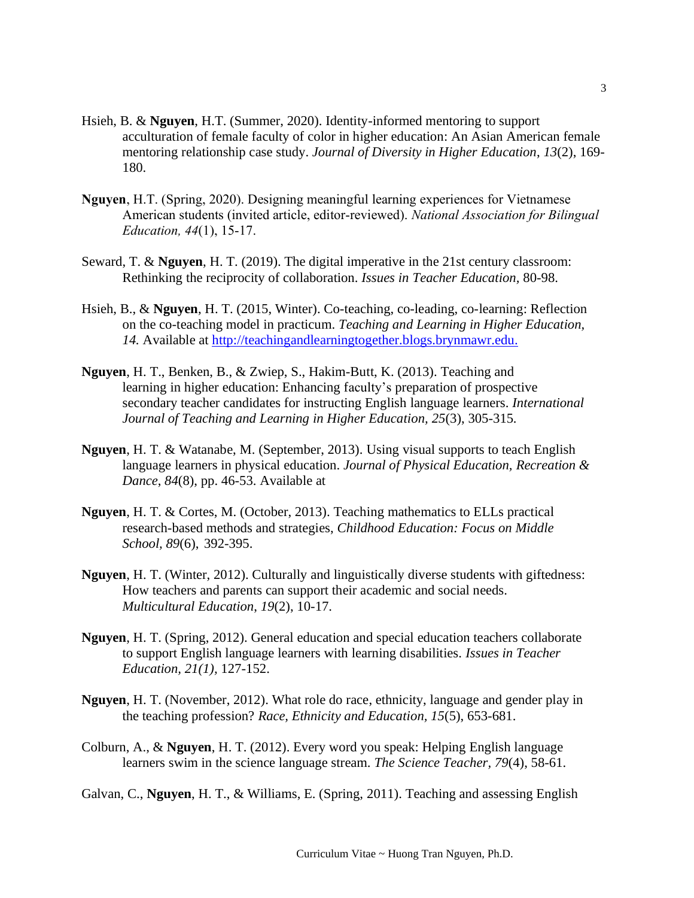- Hsieh, B. & **Nguyen**, H.T. (Summer, 2020). Identity-informed mentoring to support acculturation of female faculty of color in higher education: An Asian American female mentoring relationship case study. *Journal of Diversity in Higher Education*, *13*(2), 169- 180.
- **Nguyen**, H.T. (Spring, 2020). Designing meaningful learning experiences for Vietnamese American students (invited article, editor-reviewed). *National Association for Bilingual Education, 44*(1), 15-17.
- Seward, T. & **Nguyen**, H. T. (2019). The digital imperative in the 21st century classroom: Rethinking the reciprocity of collaboration. *Issues in Teacher Education,* 80-98.
- Hsieh, B., & **Nguyen**, H. T. (2015, Winter). Co-teaching, co-leading, co-learning: Reflection on the co-teaching model in practicum. *Teaching and Learning in Higher Education, 14.* Available at [http://teachingandlearningtogether.blogs.brynmawr.edu.](http://teachingandlearningtogether.blogs.brynmawr.edu/)
- **Nguyen**, H. T., Benken, B., & Zwiep, S., Hakim-Butt, K. (2013). Teaching and learning in higher education: Enhancing faculty's preparation of prospective secondary teacher candidates for instructing English language learners. *International Journal of Teaching and Learning in Higher Education, 25*(3), 305-315*.*
- **Nguyen**, H. T. & Watanabe, M. (September, 2013). Using visual supports to teach English language learners in physical education. *Journal of Physical Education, Recreation & Dance*, *84*(8), pp. 46-53. Available at
- **Nguyen**, H. T. & Cortes, M. (October, 2013). Teaching mathematics to ELLs practical research-based methods and strategies, *Childhood Education: Focus on Middle School, 89*(6), 392-395.
- **Nguyen**, H. T. (Winter, 2012). Culturally and linguistically diverse students with giftedness: How teachers and parents can support their academic and social needs. *Multicultural Education*, *19*(2), 10-17.
- **Nguyen**, H. T. (Spring, 2012). General education and special education teachers collaborate to support English language learners with learning disabilities. *Issues in Teacher Education, 21(1),* 127-152.
- **Nguyen**, H. T. (November, 2012). What role do race, ethnicity, language and gender play in the teaching profession? *Race, Ethnicity and Education, 15*(5), 653-681.
- Colburn, A., & **Nguyen**, H. T. (2012). Every word you speak: Helping English language learners swim in the science language stream. *The Science Teacher, 79*(4), 58-61.

Galvan, C., **Nguyen**, H. T., & Williams, E. (Spring, 2011). Teaching and assessing English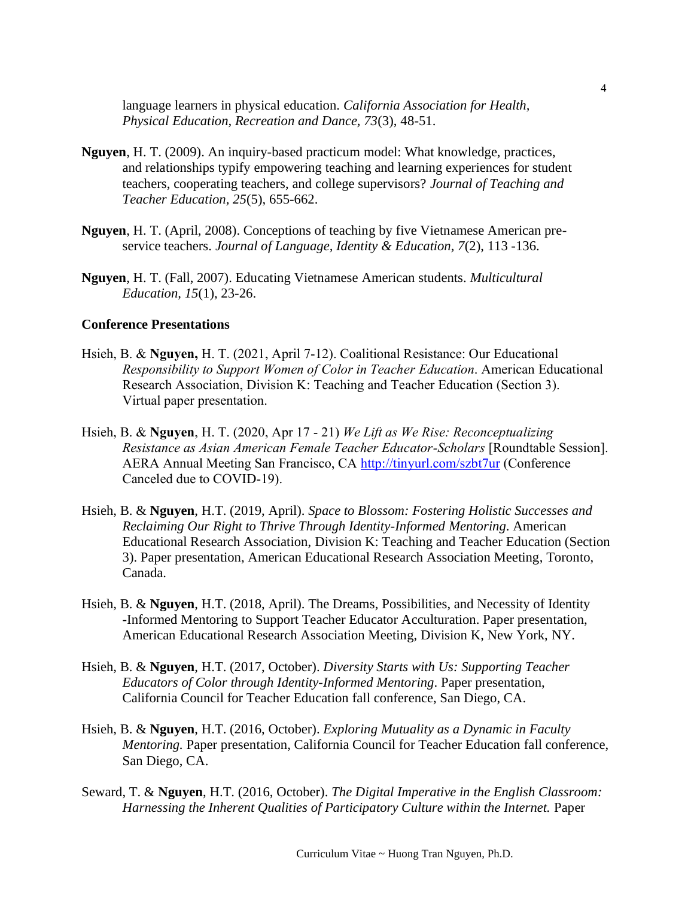language learners in physical education. *California Association for Health, Physical Education, Recreation and Dance, 73*(3), 48-51.

- **Nguyen**, H. T. (2009). An inquiry-based practicum model: What knowledge, practices, and relationships typify empowering teaching and learning experiences for student teachers, cooperating teachers, and college supervisors? *Journal of Teaching and Teacher Education, 25*(5), 655-662.
- **Nguyen**, H. T. (April, 2008). Conceptions of teaching by five Vietnamese American preservice teachers. *Journal of Language, Identity & Education, 7*(2), 113 -136.
- **Nguyen**, H. T. (Fall, 2007). Educating Vietnamese American students. *Multicultural Education, 15*(1), 23-26.

### **Conference Presentations**

- Hsieh, B. & **Nguyen,** H. T. (2021, April 7-12). Coalitional Resistance: Our Educational *Responsibility to Support Women of Color in Teacher Education*. American Educational Research Association, Division K: Teaching and Teacher Education (Section 3). Virtual paper presentation.
- Hsieh, B. & **Nguyen**, H. T. (2020, Apr 17 21) *We Lift as We Rise: Reconceptualizing Resistance as Asian American Female Teacher Educator-Scholars* [Roundtable Session]. AERA Annual Meeting San Francisco, CA <http://tinyurl.com/szbt7ur> (Conference Canceled due to COVID-19).
- Hsieh, B. & **Nguyen**, H.T. (2019, April). *Space to Blossom: Fostering Holistic Successes and Reclaiming Our Right to Thrive Through Identity-Informed Mentoring*. American Educational Research Association, Division K: Teaching and Teacher Education (Section 3). Paper presentation, American Educational Research Association Meeting, Toronto, Canada.
- Hsieh, B. & **Nguyen**, H.T. (2018, April). The Dreams, Possibilities, and Necessity of Identity -Informed Mentoring to Support Teacher Educator Acculturation. Paper presentation, American Educational Research Association Meeting, Division K, New York, NY.
- Hsieh, B. & **Nguyen**, H.T. (2017, October). *Diversity Starts with Us: Supporting Teacher Educators of Color through Identity-Informed Mentoring*. Paper presentation, California Council for Teacher Education fall conference, San Diego, CA.
- Hsieh, B. & **Nguyen**, H.T. (2016, October). *Exploring Mutuality as a Dynamic in Faculty Mentoring.* Paper presentation, California Council for Teacher Education fall conference, San Diego, CA.
- Seward, T. & **Nguyen**, H.T. (2016, October). *The Digital Imperative in the English Classroom: Harnessing the Inherent Qualities of Participatory Culture within the Internet. Paper*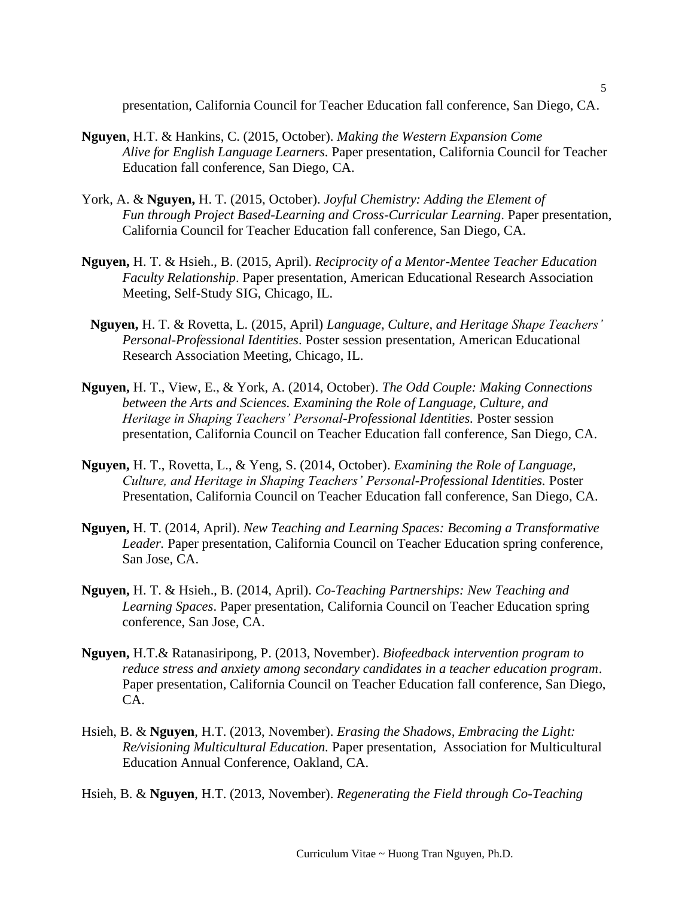presentation, California Council for Teacher Education fall conference, San Diego, CA.

- **Nguyen**, H.T. & Hankins, C. (2015, October). *Making the Western Expansion Come Alive for English Language Learners.* Paper presentation, California Council for Teacher Education fall conference, San Diego, CA.
- York, A. & **Nguyen,** H. T. (2015, October). *Joyful Chemistry: Adding the Element of Fun through Project Based-Learning and Cross-Curricular Learning*. Paper presentation, California Council for Teacher Education fall conference, San Diego, CA.
- **Nguyen,** H. T. & Hsieh., B. (2015, April). *Reciprocity of a Mentor-Mentee Teacher Education Faculty Relationship*. Paper presentation, American Educational Research Association Meeting, Self-Study SIG, Chicago, IL.
- **Nguyen,** H. T. & Rovetta, L. (2015, April) *Language, Culture, and Heritage Shape Teachers' Personal-Professional Identities*. Poster session presentation, American Educational Research Association Meeting, Chicago, IL.
- **Nguyen,** H. T., View, E., & York, A. (2014, October). *The Odd Couple: Making Connections between the Arts and Sciences. Examining the Role of Language, Culture, and Heritage in Shaping Teachers' Personal-Professional Identities.* Poster session presentation, California Council on Teacher Education fall conference, San Diego, CA.
- **Nguyen,** H. T., Rovetta, L., & Yeng, S. (2014, October). *Examining the Role of Language, Culture, and Heritage in Shaping Teachers' Personal-Professional Identities.* Poster Presentation, California Council on Teacher Education fall conference, San Diego, CA.
- **Nguyen,** H. T. (2014, April). *New Teaching and Learning Spaces: Becoming a Transformative Leader.* Paper presentation, California Council on Teacher Education spring conference, San Jose, CA.
- **Nguyen,** H. T. & Hsieh., B. (2014, April). *Co-Teaching Partnerships: New Teaching and Learning Spaces*. Paper presentation, California Council on Teacher Education spring conference, San Jose, CA.
- **Nguyen,** H.T.& Ratanasiripong, P. (2013, November). *Biofeedback intervention program to reduce stress and anxiety among secondary candidates in a teacher education program*. Paper presentation, California Council on Teacher Education fall conference, San Diego, CA.
- Hsieh, B. & **Nguyen**, H.T. (2013, November). *Erasing the Shadows, Embracing the Light: Re/visioning Multicultural Education.* Paper presentation, Association for Multicultural Education Annual Conference, Oakland, CA.

Hsieh, B. & **Nguyen**, H.T. (2013, November). *Regenerating the Field through Co-Teaching*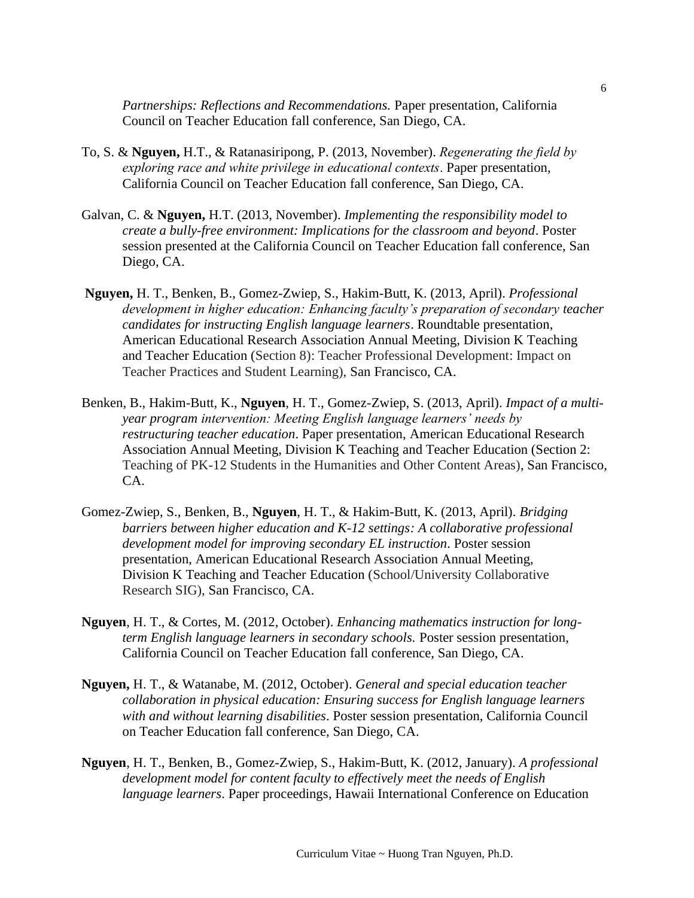*Partnerships: Reflections and Recommendations.* Paper presentation, California Council on Teacher Education fall conference, San Diego, CA.

- To, S. & **Nguyen,** H.T., & Ratanasiripong, P. (2013, November). *Regenerating the field by exploring race and white privilege in educational contexts*. Paper presentation, California Council on Teacher Education fall conference, San Diego, CA.
- Galvan, C. & **Nguyen,** H.T. (2013, November). *Implementing the responsibility model to create a bully-free environment: Implications for the classroom and beyond*. Poster session presented at the California Council on Teacher Education fall conference, San Diego, CA.
- **Nguyen,** H. T., Benken, B., Gomez-Zwiep, S., Hakim-Butt, K. (2013, April). *Professional development in higher education: Enhancing faculty's preparation of secondary teacher candidates for instructing English language learners*. Roundtable presentation, American Educational Research Association Annual Meeting, Division K Teaching and Teacher Education (Section 8): Teacher Professional Development: Impact on Teacher Practices and Student Learning), San Francisco, CA.
- Benken, B., Hakim-Butt, K., **Nguyen**, H. T., Gomez-Zwiep, S. (2013, April). *Impact of a multiyear program intervention: Meeting English language learners' needs by restructuring teacher education*. Paper presentation, American Educational Research Association Annual Meeting, Division K Teaching and Teacher Education (Section 2: Teaching of PK-12 Students in the Humanities and Other Content Areas), San Francisco, CA.
- Gomez-Zwiep, S., Benken, B., **Nguyen**, H. T., & Hakim-Butt, K. (2013, April). *Bridging barriers between higher education and K-12 settings: A collaborative professional development model for improving secondary EL instruction*. Poster session presentation, American Educational Research Association Annual Meeting, Division K Teaching and Teacher Education (School/University Collaborative Research SIG), San Francisco, CA.
- **Nguyen**, H. T., & Cortes, M. (2012, October). *Enhancing mathematics instruction for longterm English language learners in secondary schools.* Poster session presentation, California Council on Teacher Education fall conference, San Diego, CA.
- **Nguyen,** H. T., & Watanabe, M. (2012, October). *General and special education teacher collaboration in physical education: Ensuring success for English language learners with and without learning disabilities*. Poster session presentation, California Council on Teacher Education fall conference, San Diego, CA.
- **Nguyen**, H. T., Benken, B., Gomez-Zwiep, S., Hakim-Butt, K. (2012, January). *A professional development model for content faculty to effectively meet the needs of English language learners*. Paper proceedings, Hawaii International Conference on Education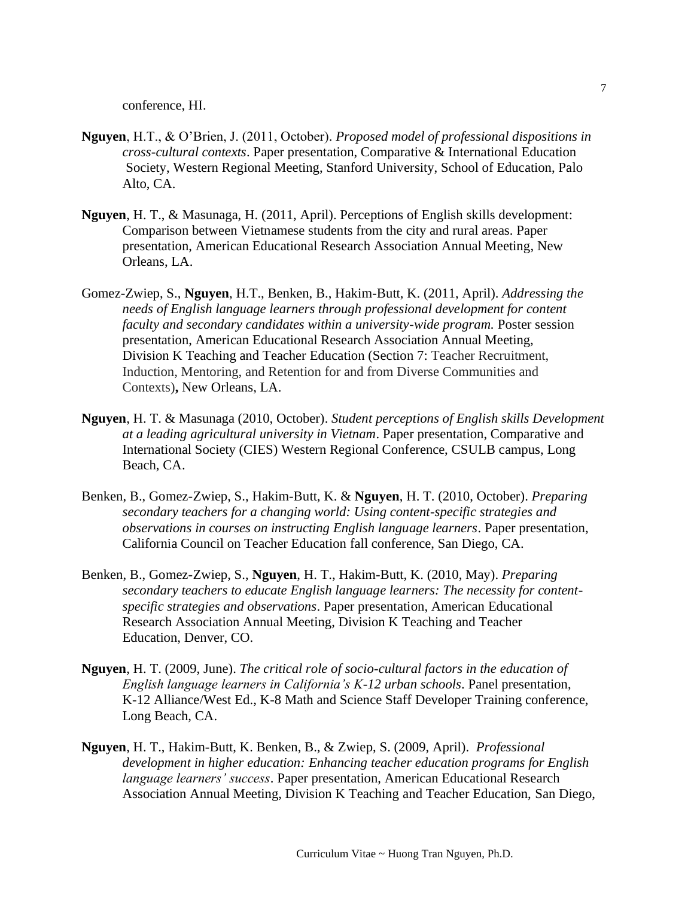conference, HI.

- **Nguyen**, H.T., & O'Brien, J. (2011, October). *Proposed model of professional dispositions in cross-cultural contexts*. Paper presentation, Comparative & International Education Society, Western Regional Meeting, Stanford University, School of Education, Palo Alto, CA.
- **Nguyen**, H. T., & Masunaga, H. (2011, April). Perceptions of English skills development: Comparison between Vietnamese students from the city and rural areas. Paper presentation, American Educational Research Association Annual Meeting, New Orleans, LA.
- Gomez-Zwiep, S., **Nguyen**, H.T., Benken, B., Hakim-Butt, K. (2011, April). *Addressing the needs of English language learners through professional development for content faculty and secondary candidates within a university-wide program.* Poster session presentation, American Educational Research Association Annual Meeting, Division K Teaching and Teacher Education (Section 7: Teacher Recruitment, Induction, Mentoring, and Retention for and from Diverse Communities and Contexts)**,** New Orleans, LA.
- **Nguyen**, H. T. & Masunaga (2010, October). *Student perceptions of English skills Development at a leading agricultural university in Vietnam*. Paper presentation, Comparative and International Society (CIES) Western Regional Conference, CSULB campus, Long Beach, CA.
- Benken, B., Gomez-Zwiep, S., Hakim-Butt, K. & **Nguyen**, H. T. (2010, October). *Preparing secondary teachers for a changing world: Using content-specific strategies and observations in courses on instructing English language learners*. Paper presentation, California Council on Teacher Education fall conference, San Diego, CA.
- Benken, B., Gomez-Zwiep, S., **Nguyen**, H. T., Hakim-Butt, K. (2010, May). *Preparing secondary teachers to educate English language learners: The necessity for contentspecific strategies and observations*. Paper presentation, American Educational Research Association Annual Meeting, Division K Teaching and Teacher Education, Denver, CO.
- **Nguyen**, H. T. (2009, June). *The critical role of socio-cultural factors in the education of English language learners in California's K-12 urban schools*. Panel presentation, K-12 Alliance/West Ed., K-8 Math and Science Staff Developer Training conference, Long Beach, CA.
- **Nguyen**, H. T., Hakim-Butt, K. Benken, B., & Zwiep, S. (2009, April). *Professional development in higher education: Enhancing teacher education programs for English language learners' success*. Paper presentation, American Educational Research Association Annual Meeting, Division K Teaching and Teacher Education, San Diego,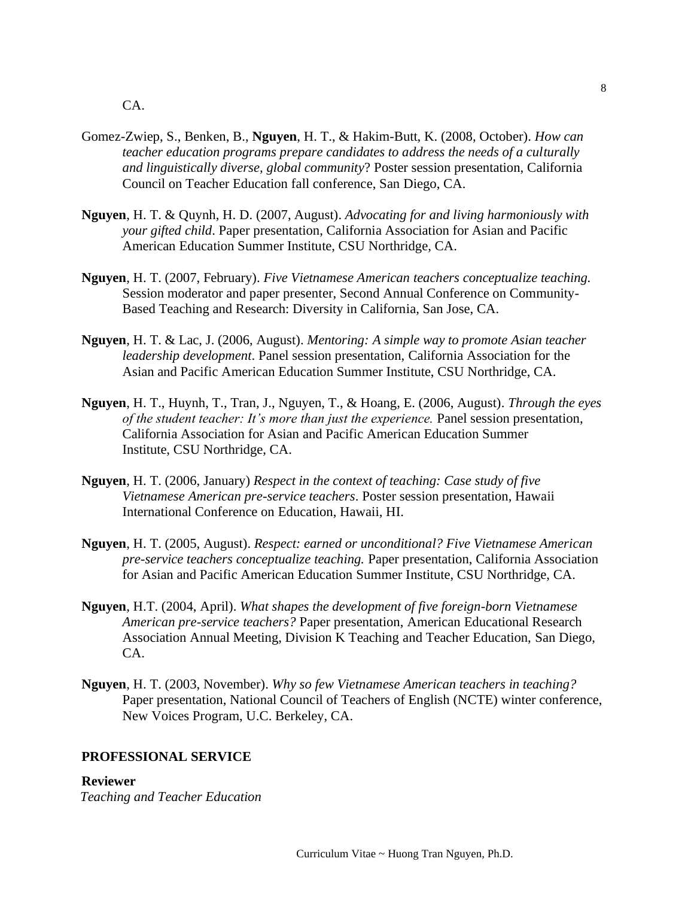- Gomez-Zwiep, S., Benken, B., **Nguyen**, H. T., & Hakim-Butt, K. (2008, October). *How can teacher education programs prepare candidates to address the needs of a culturally and linguistically diverse, global community*? Poster session presentation, California Council on Teacher Education fall conference, San Diego, CA.
- **Nguyen**, H. T. & Quynh, H. D. (2007, August). *Advocating for and living harmoniously with your gifted child*. Paper presentation, California Association for Asian and Pacific American Education Summer Institute, CSU Northridge, CA.
- **Nguyen**, H. T. (2007, February). *Five Vietnamese American teachers conceptualize teaching.* Session moderator and paper presenter, Second Annual Conference on Community-Based Teaching and Research: Diversity in California, San Jose, CA.
- **Nguyen**, H. T. & Lac, J. (2006, August). *Mentoring: A simple way to promote Asian teacher leadership development*. Panel session presentation, California Association for the Asian and Pacific American Education Summer Institute, CSU Northridge, CA.
- **Nguyen**, H. T., Huynh, T., Tran, J., Nguyen, T., & Hoang, E. (2006, August). *Through the eyes of the student teacher: It's more than just the experience.* Panel session presentation, California Association for Asian and Pacific American Education Summer Institute, CSU Northridge, CA.
- **Nguyen**, H. T. (2006, January) *Respect in the context of teaching: Case study of five Vietnamese American pre-service teachers*. Poster session presentation, Hawaii International Conference on Education, Hawaii, HI.
- **Nguyen**, H. T. (2005, August). *Respect: earned or unconditional? Five Vietnamese American pre-service teachers conceptualize teaching.* Paper presentation, California Association for Asian and Pacific American Education Summer Institute, CSU Northridge, CA.
- **Nguyen**, H.T. (2004, April). *What shapes the development of five foreign-born Vietnamese American pre-service teachers?* Paper presentation, American Educational Research Association Annual Meeting, Division K Teaching and Teacher Education, San Diego, CA.
- **Nguyen**, H. T. (2003, November). *Why so few Vietnamese American teachers in teaching?*  Paper presentation, National Council of Teachers of English (NCTE) winter conference, New Voices Program, U.C. Berkeley, CA.

### **PROFESSIONAL SERVICE**

#### **Reviewer**

*Teaching and Teacher Education*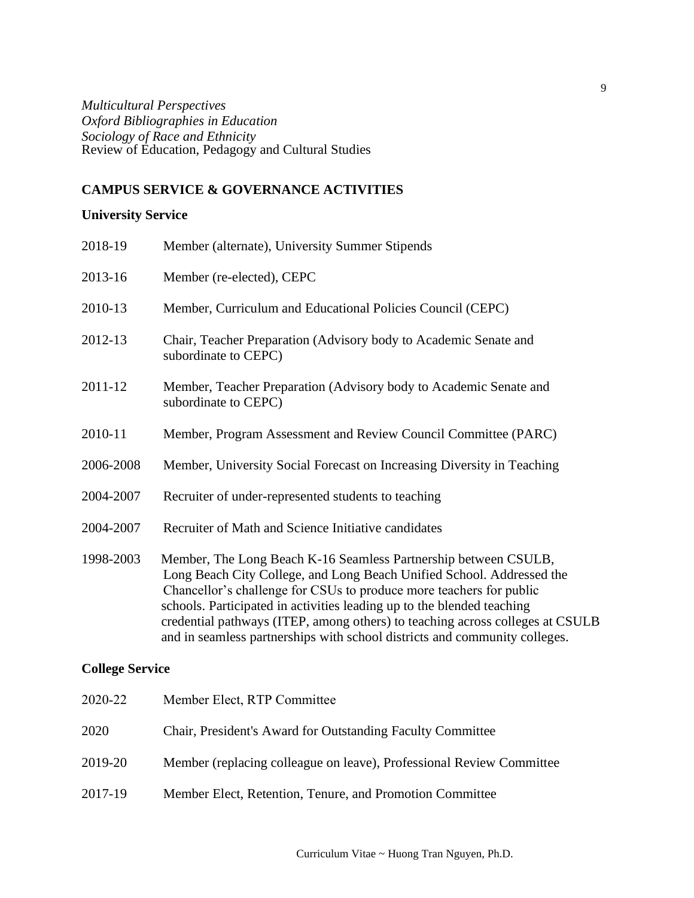*Multicultural Perspectives Oxford Bibliographies in Education Sociology of Race and Ethnicity* Review of Education, Pedagogy and Cultural Studies

# **CAMPUS SERVICE & GOVERNANCE ACTIVITIES**

# **University Service**

| 2018-19   | Member (alternate), University Summer Stipends                                                                                                                                                                                                                                                                                                                             |
|-----------|----------------------------------------------------------------------------------------------------------------------------------------------------------------------------------------------------------------------------------------------------------------------------------------------------------------------------------------------------------------------------|
| 2013-16   | Member (re-elected), CEPC                                                                                                                                                                                                                                                                                                                                                  |
| 2010-13   | Member, Curriculum and Educational Policies Council (CEPC)                                                                                                                                                                                                                                                                                                                 |
| 2012-13   | Chair, Teacher Preparation (Advisory body to Academic Senate and<br>subordinate to CEPC)                                                                                                                                                                                                                                                                                   |
| 2011-12   | Member, Teacher Preparation (Advisory body to Academic Senate and<br>subordinate to CEPC)                                                                                                                                                                                                                                                                                  |
| 2010-11   | Member, Program Assessment and Review Council Committee (PARC)                                                                                                                                                                                                                                                                                                             |
| 2006-2008 | Member, University Social Forecast on Increasing Diversity in Teaching                                                                                                                                                                                                                                                                                                     |
| 2004-2007 | Recruiter of under-represented students to teaching                                                                                                                                                                                                                                                                                                                        |
| 2004-2007 | Recruiter of Math and Science Initiative candidates                                                                                                                                                                                                                                                                                                                        |
| 1998-2003 | Member, The Long Beach K-16 Seamless Partnership between CSULB,<br>Long Beach City College, and Long Beach Unified School. Addressed the<br>Chancellor's challenge for CSUs to produce more teachers for public<br>schools. Participated in activities leading up to the blended teaching<br>credential pathways (ITEP, among others) to teaching across colleges at CSULB |

# **College Service**

| 2020-22 | Member Elect, RTP Committee                                          |
|---------|----------------------------------------------------------------------|
| 2020    | Chair, President's Award for Outstanding Faculty Committee           |
| 2019-20 | Member (replacing colleague on leave), Professional Review Committee |
| 2017-19 | Member Elect, Retention, Tenure, and Promotion Committee             |

and in seamless partnerships with school districts and community colleges.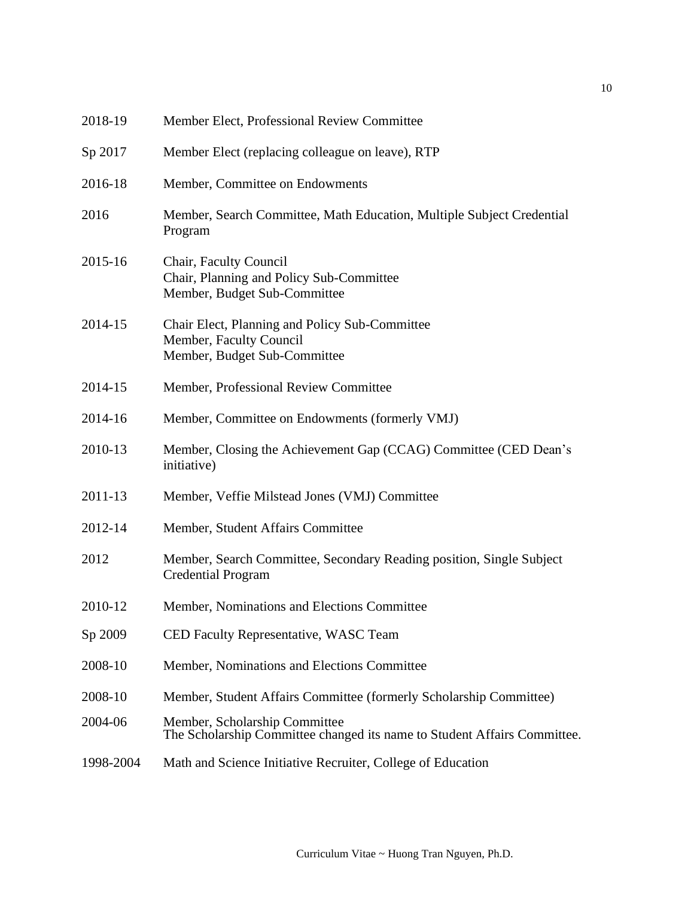| 2018-19   | Member Elect, Professional Review Committee                                                               |
|-----------|-----------------------------------------------------------------------------------------------------------|
| Sp 2017   | Member Elect (replacing colleague on leave), RTP                                                          |
| 2016-18   | Member, Committee on Endowments                                                                           |
| 2016      | Member, Search Committee, Math Education, Multiple Subject Credential<br>Program                          |
| 2015-16   | Chair, Faculty Council<br>Chair, Planning and Policy Sub-Committee<br>Member, Budget Sub-Committee        |
| 2014-15   | Chair Elect, Planning and Policy Sub-Committee<br>Member, Faculty Council<br>Member, Budget Sub-Committee |
| 2014-15   | Member, Professional Review Committee                                                                     |
| 2014-16   | Member, Committee on Endowments (formerly VMJ)                                                            |
| 2010-13   | Member, Closing the Achievement Gap (CCAG) Committee (CED Dean's<br>initiative)                           |
| 2011-13   | Member, Veffie Milstead Jones (VMJ) Committee                                                             |
| 2012-14   | Member, Student Affairs Committee                                                                         |
| 2012      | Member, Search Committee, Secondary Reading position, Single Subject<br><b>Credential Program</b>         |
| 2010-12   | Member, Nominations and Elections Committee                                                               |
| Sp 2009   | CED Faculty Representative, WASC Team                                                                     |
| 2008-10   | Member, Nominations and Elections Committee                                                               |
| 2008-10   | Member, Student Affairs Committee (formerly Scholarship Committee)                                        |
| 2004-06   | Member, Scholarship Committee<br>The Scholarship Committee changed its name to Student Affairs Committee. |
| 1998-2004 | Math and Science Initiative Recruiter, College of Education                                               |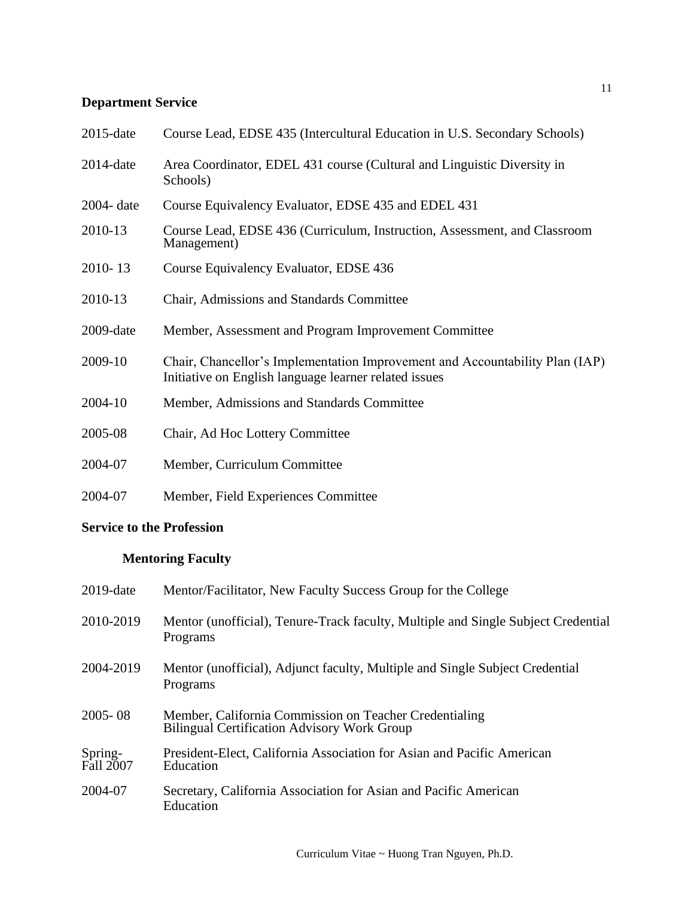# **Department Service**

| $2015$ -date  | Course Lead, EDSE 435 (Intercultural Education in U.S. Secondary Schools)                                                             |
|---------------|---------------------------------------------------------------------------------------------------------------------------------------|
| $2014$ -date  | Area Coordinator, EDEL 431 course (Cultural and Linguistic Diversity in<br>Schools)                                                   |
| $2004 - date$ | Course Equivalency Evaluator, EDSE 435 and EDEL 431                                                                                   |
| 2010-13       | Course Lead, EDSE 436 (Curriculum, Instruction, Assessment, and Classroom<br>Management)                                              |
| 2010-13       | Course Equivalency Evaluator, EDSE 436                                                                                                |
| 2010-13       | Chair, Admissions and Standards Committee                                                                                             |
| $2009$ -date  | Member, Assessment and Program Improvement Committee                                                                                  |
| 2009-10       | Chair, Chancellor's Implementation Improvement and Accountability Plan (IAP)<br>Initiative on English language learner related issues |
| 2004-10       | Member, Admissions and Standards Committee                                                                                            |
| 2005-08       | Chair, Ad Hoc Lottery Committee                                                                                                       |
| 2004-07       | Member, Curriculum Committee                                                                                                          |
| 2004-07       | Member, Field Experiences Committee                                                                                                   |

# **Service to the Profession**

# **Mentoring Faculty**

| $2019$ -date         | Mentor/Facilitator, New Faculty Success Group for the College                                                |
|----------------------|--------------------------------------------------------------------------------------------------------------|
| 2010-2019            | Mentor (unofficial), Tenure-Track faculty, Multiple and Single Subject Credential<br>Programs                |
| 2004-2019            | Mentor (unofficial), Adjunct faculty, Multiple and Single Subject Credential<br>Programs                     |
| $2005 - 08$          | Member, California Commission on Teacher Credentialing<br><b>Bilingual Certification Advisory Work Group</b> |
| Spring-<br>Fall 2007 | President-Elect, California Association for Asian and Pacific American<br>Education                          |
| 2004-07              | Secretary, California Association for Asian and Pacific American<br>Education                                |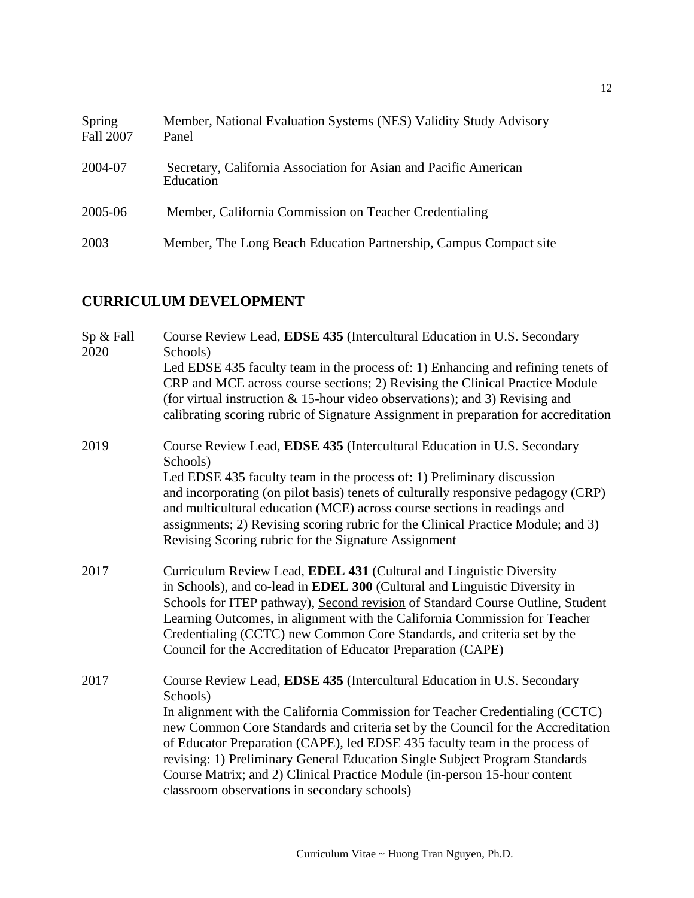| $Spring-$<br><b>Fall 2007</b> | Member, National Evaluation Systems (NES) Validity Study Advisory<br>Panel    |
|-------------------------------|-------------------------------------------------------------------------------|
| 2004-07                       | Secretary, California Association for Asian and Pacific American<br>Education |
| 2005-06                       | Member, California Commission on Teacher Credentialing                        |
| 2003                          | Member, The Long Beach Education Partnership, Campus Compact site             |

# **CURRICULUM DEVELOPMENT**

| Sp & Fall<br>2020 | Course Review Lead, EDSE 435 (Intercultural Education in U.S. Secondary<br>Schools)                                                                                                                                                                                                                                                                                                                                                                                                                                                               |
|-------------------|---------------------------------------------------------------------------------------------------------------------------------------------------------------------------------------------------------------------------------------------------------------------------------------------------------------------------------------------------------------------------------------------------------------------------------------------------------------------------------------------------------------------------------------------------|
|                   | Led EDSE 435 faculty team in the process of: 1) Enhancing and refining tenets of<br>CRP and MCE across course sections; 2) Revising the Clinical Practice Module<br>(for virtual instruction $& 15$ -hour video observations); and 3) Revising and<br>calibrating scoring rubric of Signature Assignment in preparation for accreditation                                                                                                                                                                                                         |
| 2019              | Course Review Lead, EDSE 435 (Intercultural Education in U.S. Secondary<br>Schools)<br>Led EDSE 435 faculty team in the process of: 1) Preliminary discussion<br>and incorporating (on pilot basis) tenets of culturally responsive pedagogy (CRP)<br>and multicultural education (MCE) across course sections in readings and<br>assignments; 2) Revising scoring rubric for the Clinical Practice Module; and 3)<br>Revising Scoring rubric for the Signature Assignment                                                                        |
| 2017              | Curriculum Review Lead, EDEL 431 (Cultural and Linguistic Diversity<br>in Schools), and co-lead in EDEL 300 (Cultural and Linguistic Diversity in<br>Schools for ITEP pathway), Second revision of Standard Course Outline, Student<br>Learning Outcomes, in alignment with the California Commission for Teacher<br>Credentialing (CCTC) new Common Core Standards, and criteria set by the<br>Council for the Accreditation of Educator Preparation (CAPE)                                                                                      |
| 2017              | Course Review Lead, EDSE 435 (Intercultural Education in U.S. Secondary<br>Schools)<br>In alignment with the California Commission for Teacher Credentialing (CCTC)<br>new Common Core Standards and criteria set by the Council for the Accreditation<br>of Educator Preparation (CAPE), led EDSE 435 faculty team in the process of<br>revising: 1) Preliminary General Education Single Subject Program Standards<br>Course Matrix; and 2) Clinical Practice Module (in-person 15-hour content<br>classroom observations in secondary schools) |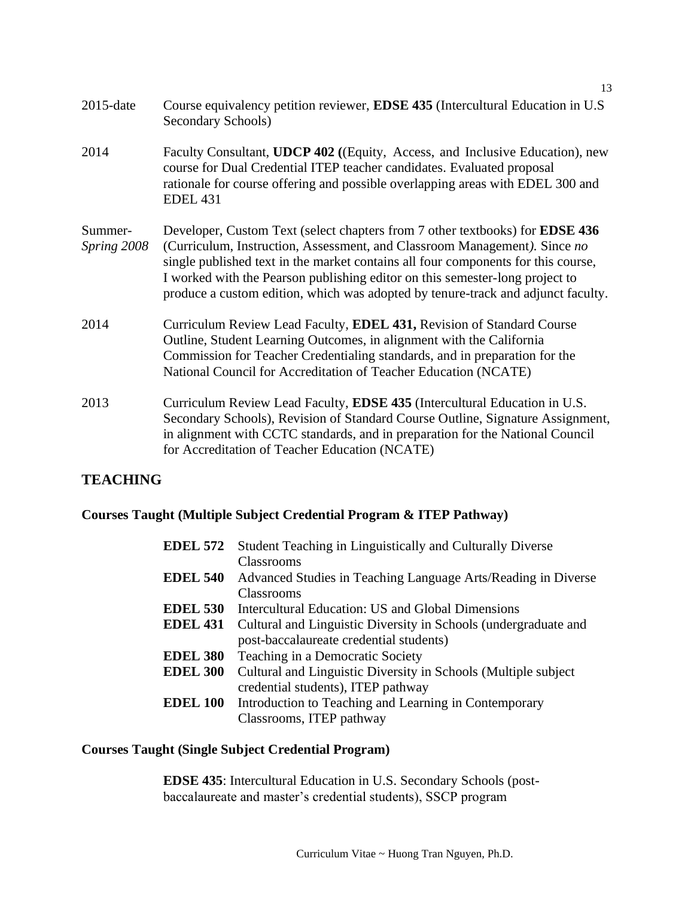| $2015$ -date           | Course equivalency petition reviewer, EDSE 435 (Intercultural Education in U.S.<br>Secondary Schools)                                                                                                                                                                                                                                                                                                                     |
|------------------------|---------------------------------------------------------------------------------------------------------------------------------------------------------------------------------------------------------------------------------------------------------------------------------------------------------------------------------------------------------------------------------------------------------------------------|
| 2014                   | Faculty Consultant, UDCP 402 ((Equity, Access, and Inclusive Education), new<br>course for Dual Credential ITEP teacher candidates. Evaluated proposal<br>rationale for course offering and possible overlapping areas with EDEL 300 and<br><b>EDEL 431</b>                                                                                                                                                               |
| Summer-<br>Spring 2008 | Developer, Custom Text (select chapters from 7 other textbooks) for <b>EDSE 436</b><br>(Curriculum, Instruction, Assessment, and Classroom Management). Since no<br>single published text in the market contains all four components for this course,<br>I worked with the Pearson publishing editor on this semester-long project to<br>produce a custom edition, which was adopted by tenure-track and adjunct faculty. |
| 2014                   | Curriculum Review Lead Faculty, <b>EDEL 431</b> , Revision of Standard Course<br>Outline, Student Learning Outcomes, in alignment with the California<br>Commission for Teacher Credentialing standards, and in preparation for the<br>National Council for Accreditation of Teacher Education (NCATE)                                                                                                                    |
| 2013                   | Curriculum Review Lead Faculty, <b>EDSE 435</b> (Intercultural Education in U.S.<br>Secondary Schools), Revision of Standard Course Outline, Signature Assignment,<br>in alignment with CCTC standards, and in preparation for the National Council<br>for Accreditation of Teacher Education (NCATE)                                                                                                                     |

# **TEACHING**

# **Courses Taught (Multiple Subject Credential Program & ITEP Pathway)**

| <b>EDEL 572</b> | Student Teaching in Linguistically and Culturally Diverse       |
|-----------------|-----------------------------------------------------------------|
|                 | <b>Classrooms</b>                                               |
| <b>EDEL 540</b> | Advanced Studies in Teaching Language Arts/Reading in Diverse   |
|                 | Classrooms                                                      |
| <b>EDEL 530</b> | Intercultural Education: US and Global Dimensions               |
| <b>EDEL 431</b> | Cultural and Linguistic Diversity in Schools (undergraduate and |
|                 | post-baccalaureate credential students)                         |
| <b>EDEL 380</b> | Teaching in a Democratic Society                                |
| <b>EDEL 300</b> | Cultural and Linguistic Diversity in Schools (Multiple subject) |
|                 | credential students), ITEP pathway                              |
| <b>EDEL 100</b> | Introduction to Teaching and Learning in Contemporary           |
|                 | Classrooms, ITEP pathway                                        |

# **Courses Taught (Single Subject Credential Program)**

**EDSE 435**: Intercultural Education in U.S. Secondary Schools (postbaccalaureate and master's credential students), SSCP program